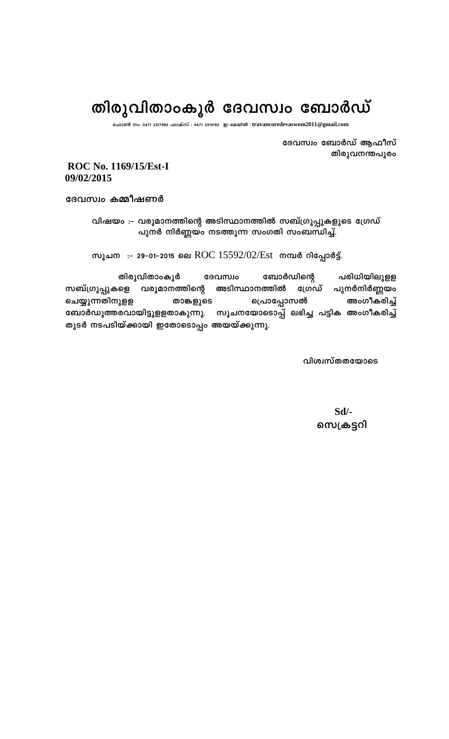## തിരുവിതാംകൂർ ദേവസ്വം ബോർഡ്

**t^m¬ \w: 0471 2317983 ^mIvkv : 0471 2310192 Cþ-sa-bnÂ** : **travancoredevaswom2011@gmail.com**

ദേവസ്വം ബോർഡ് ആഫീസ് തിരുവനന്തപുരം

**ROC No. 1169/15/Est-I 09/02/2015** 

ദേവസ്വം കമ്മീഷണർ

വിഷയം :– വരുമാനത്തിന്റെ അടിസ്ഥാനത്തിൽ സബ്ഗ്രൂപ്പുകളുടെ ഗ്രേഡ് പുനർ നിർണ്ണയം നടത്തുന്ന സംഗതി സംബന്ധിച്ച്.

സൂചന :- 29-01-2015 ലെ ROC 15592/02/Est mമ്പർ റിപ്പോർട്ട്.

തിരുവിതാംകൂർ ദേവസ്വം ബോർഡിന്റെ പരിധിയിലുളള സബ്ഗ്രൂപ്പുകളെ വരുമാനത്തിന്റെ അടിസ്ഥാനത്തിൽ ഗ്രേഡ് പുനർനിർണ്ണയം ചെയ്യുന്നതിനുളള താങ്കളുടെ പ്രൊപ്പോസൽ അംഗീകരിച്ച് mോർഡുത്തരവായിട്ടുളളതാകുന്നു. സൂചനയോടൊപ്പ് ലഭിച്ച പട്ടിക അംഗീകരിച്ച് തുടർ നടപടിയ്ക്കായി ഇതോടൊപ്പം അയയ്ക്കുന്നു.

**വിശ്വസ്തതയോടെ** 

**Sd/- സെക്രട്ടറി**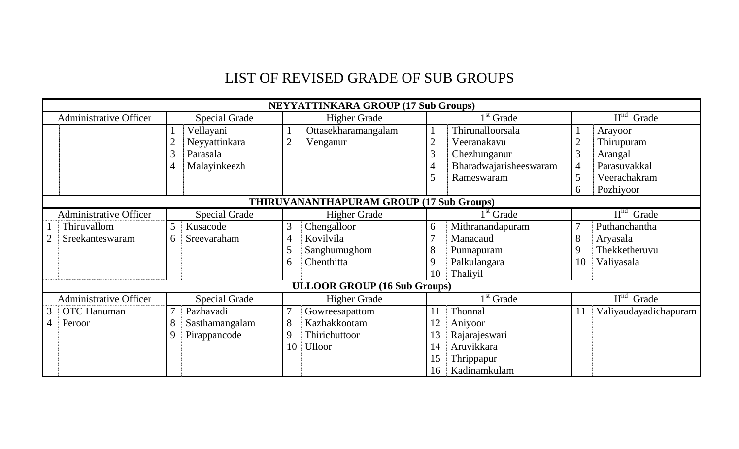## LIST OF REVISED GRADE OF SUB GROUPS

|                | <b>NEYYATTINKARA GROUP (17 Sub Groups)</b>      |                      |                      |                     |                                     |                |                        |                                              |                       |
|----------------|-------------------------------------------------|----------------------|----------------------|---------------------|-------------------------------------|----------------|------------------------|----------------------------------------------|-----------------------|
|                | Administrative Officer                          |                      | <b>Special Grade</b> | <b>Higher Grade</b> |                                     | $1st$ Grade    |                        | $\overline{\mathrm{II}}^{\mathrm{nd}}$ Grade |                       |
|                |                                                 |                      | Vellayani            |                     | Ottasekharamangalam                 |                | Thirunalloorsala       |                                              | Arayoor               |
|                |                                                 |                      | Neyyattinkara        | $\overline{2}$      | Venganur                            | $\overline{2}$ | Veeranakavu            | $\overline{2}$                               | Thirupuram            |
|                |                                                 |                      | Parasala             |                     |                                     | 3              | Chezhunganur           | 3                                            | Arangal               |
|                |                                                 |                      | Malayinkeezh         |                     |                                     | 4              | Bharadwajarisheeswaram | $\overline{4}$                               | Parasuvakkal          |
|                |                                                 |                      |                      |                     |                                     | 5              | Rameswaram             | 5                                            | Veerachakram          |
|                |                                                 |                      |                      |                     |                                     |                |                        | 6                                            | Pozhiyoor             |
|                | <b>THIRUVANANTHAPURAM GROUP (17 Sub Groups)</b> |                      |                      |                     |                                     |                |                        |                                              |                       |
|                | <b>Administrative Officer</b>                   | <b>Special Grade</b> |                      | <b>Higher Grade</b> |                                     | $1st$ Grade    |                        | $\overline{II}^{\text{nd}}$ Grade            |                       |
|                | Thiruvallom                                     | 5 <sup>5</sup>       | Kusacode             | 3                   | Chengalloor                         | 6              | Mithranandapuram       | $\overline{7}$                               | Puthanchantha         |
| 2              | Sreekanteswaram                                 | 6                    | Sreevaraham          | 4                   | Kovilvila                           | 7              | Manacaud               | 8                                            | Aryasala              |
|                |                                                 |                      |                      |                     | Sanghumughom                        | 8              | Punnapuram             | 9                                            | Thekketheruvu         |
|                |                                                 |                      |                      | 6                   | Chenthitta                          | 9              | Palkulangara           | 10                                           | Valiyasala            |
|                |                                                 |                      |                      |                     |                                     | 10             | Thaliyil               |                                              |                       |
|                |                                                 |                      |                      |                     | <b>ULLOOR GROUP (16 Sub Groups)</b> |                |                        |                                              |                       |
|                | <b>Administrative Officer</b>                   |                      | <b>Special Grade</b> |                     | <b>Higher Grade</b>                 |                | $1st$ Grade            |                                              | $IInd$ Grade          |
| 3              | <b>OTC</b> Hanuman                              |                      | Pazhavadi            |                     | Gowreesapattom                      | 11             | Thonnal                | 11                                           | Valiyaudayadichapuram |
| $\overline{4}$ | Peroor                                          |                      | Sasthamangalam       | 8                   | Kazhakkootam                        |                | Aniyoor                |                                              |                       |
|                |                                                 |                      | Pirappancode         | 9                   | Thirichuttoor                       | 13             | Rajarajeswari          |                                              |                       |
|                |                                                 |                      |                      | 10                  | <b>Ulloor</b>                       | 14             | Aruvikkara             |                                              |                       |
|                |                                                 |                      |                      |                     |                                     | 15             | Thrippapur             |                                              |                       |
|                |                                                 |                      |                      |                     |                                     | 16             | Kadinamkulam           |                                              |                       |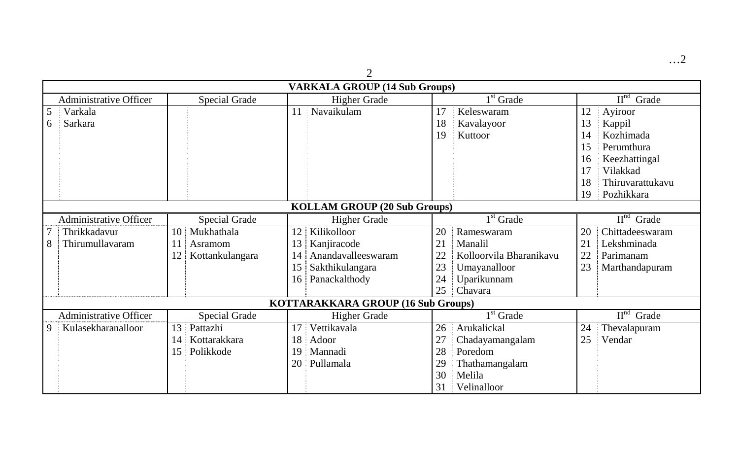…2

|                                     | $\overline{2}$                       |                          |                               |                                    |  |  |  |
|-------------------------------------|--------------------------------------|--------------------------|-------------------------------|------------------------------------|--|--|--|
|                                     | <b>VARKALA GROUP (14 Sub Groups)</b> |                          |                               |                                    |  |  |  |
| <b>Administrative Officer</b>       | <b>Special Grade</b>                 | <b>Higher Grade</b>      | $1st$ Grade                   | $\overline{II}^{\text{nd}}$ Grade  |  |  |  |
| 5<br>Varkala                        |                                      | Navaikulam<br>11         | Keleswaram<br>17              | Ayiroor<br>12                      |  |  |  |
| Sarkara<br>6                        |                                      |                          | 18<br>Kavalayoor              | 13<br>Kappil                       |  |  |  |
|                                     |                                      |                          | 19<br>Kuttoor                 | Kozhimada<br>14                    |  |  |  |
|                                     |                                      |                          |                               | Perumthura<br>15                   |  |  |  |
|                                     |                                      |                          |                               | Keezhattingal<br>16                |  |  |  |
|                                     |                                      |                          |                               | Vilakkad<br>17                     |  |  |  |
|                                     |                                      |                          |                               | 18<br>Thiruvarattukavu             |  |  |  |
|                                     |                                      |                          |                               | Pozhikkara<br>19                   |  |  |  |
| <b>KOLLAM GROUP (20 Sub Groups)</b> |                                      |                          |                               |                                    |  |  |  |
| <b>Administrative Officer</b>       | <b>Special Grade</b>                 | <b>Higher Grade</b>      | $1st$ Grade                   | $\mathbf{H}^{\text{nd}}$<br>Grade  |  |  |  |
| Thrikkadavur                        | Mukhathala<br>10 <sup>1</sup>        | Kilikolloor<br>12        | 20<br>Rameswaram              | Chittadeeswaram<br>20              |  |  |  |
| 8<br>Thirumullavaram                | Asramom<br>11                        | 13<br>Kanjiracode        | 21<br>Manalil                 | 21<br>Lekshminada                  |  |  |  |
|                                     | 12<br>Kottankulangara                | Anandavalleeswaram<br>14 | Kolloorvila Bharanikavu<br>22 | 22<br>Parimanam                    |  |  |  |
|                                     |                                      | 15<br>Sakthikulangara    | 23<br>Umayanalloor            | 23<br>Marthandapuram               |  |  |  |
|                                     |                                      | Panackalthody<br>16      | Uparikunnam<br>24             |                                    |  |  |  |
|                                     |                                      |                          | Chavara<br>25                 |                                    |  |  |  |
|                                     | KOTTARAKKARA GROUP (16 Sub Groups)   |                          |                               |                                    |  |  |  |
| <b>Administrative Officer</b>       | <b>Special Grade</b>                 | <b>Higher Grade</b>      | $1st$ Grade                   | $\mathbf{II}^{\text{nd}}$<br>Grade |  |  |  |
| Kulasekharanalloor<br>9             | 13<br>Pattazhi                       | Vettikavala<br>17        | Arukalickal<br>26             | 24<br>Thevalapuram                 |  |  |  |
|                                     | Kottarakkara<br>14                   | Adoor<br>18              | 27<br>Chadayamangalam         | 25<br>Vendar                       |  |  |  |
|                                     | 15<br>Polikkode                      | Mannadi<br>19            | 28<br>Poredom                 |                                    |  |  |  |
|                                     |                                      | 20<br>Pullamala          | 29<br>Thathamangalam          |                                    |  |  |  |
|                                     |                                      |                          | Melila<br>30                  |                                    |  |  |  |
|                                     |                                      |                          | 31<br>Velinalloor             |                                    |  |  |  |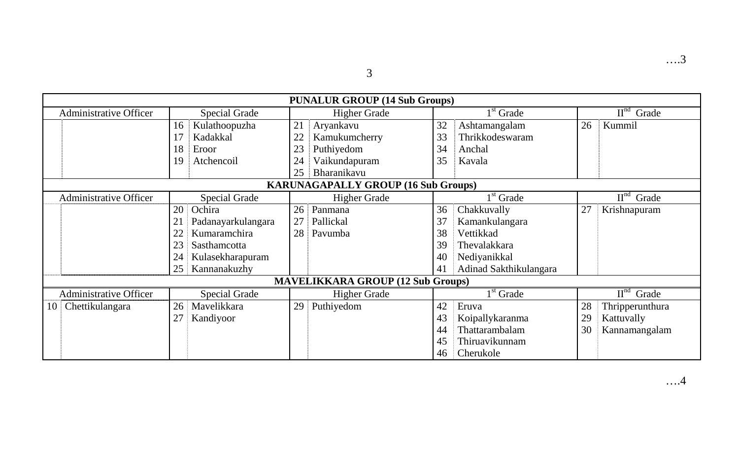3

|                               | <b>PUNALUR GROUP (14 Sub Groups)</b> |                      |    |                                            |    |                        |    |                                    |
|-------------------------------|--------------------------------------|----------------------|----|--------------------------------------------|----|------------------------|----|------------------------------------|
| <b>Administrative Officer</b> |                                      | <b>Special Grade</b> |    | <b>Higher Grade</b>                        |    | $1st$ Grade            |    | $\mathbf{II}^{\text{nd}}$<br>Grade |
|                               | 16                                   | Kulathoopuzha        | 21 | Aryankavu                                  | 32 | Ashtamangalam          | 26 | Kummil                             |
|                               |                                      | Kadakkal             | 22 | Kamukumcherry                              | 33 | Thrikkodeswaram        |    |                                    |
|                               | 18                                   | Eroor                | 23 | Puthiyedom                                 | 34 | Anchal                 |    |                                    |
|                               | 19                                   | Atchencoil           | 24 | Vaikundapuram                              | 35 | Kavala                 |    |                                    |
|                               |                                      |                      | 25 | Bharanikavu                                |    |                        |    |                                    |
|                               |                                      |                      |    | <b>KARUNAGAPALLY GROUP (16 Sub Groups)</b> |    |                        |    |                                    |
| <b>Administrative Officer</b> |                                      | <b>Special Grade</b> |    | <b>Higher Grade</b>                        |    | $1st$ Grade            |    | $IInd$ Grade                       |
|                               | 20                                   | Ochira               | 26 | Panmana                                    | 36 | Chakkuvally            | 27 | Krishnapuram                       |
|                               | $2^{\circ}$                          | Padanayarkulangara   | 27 | Pallickal                                  | 37 | Kamankulangara         |    |                                    |
|                               | 22                                   | Kumaramchira         | 28 | Pavumba                                    | 38 | Vettikkad              |    |                                    |
|                               | 23                                   | Sasthamcotta         |    |                                            | 39 | Thevalakkara           |    |                                    |
|                               | 24                                   | Kulasekharapuram     |    |                                            | 40 | Nediyanikkal           |    |                                    |
|                               | 25                                   | Kannanakuzhy         |    |                                            | 41 | Adinad Sakthikulangara |    |                                    |
|                               |                                      |                      |    | <b>MAVELIKKARA GROUP (12 Sub Groups)</b>   |    |                        |    |                                    |
| <b>Administrative Officer</b> |                                      | <b>Special Grade</b> |    | <b>Higher Grade</b>                        |    | $1st$ Grade            |    | $IInd$ Grade                       |
| Chettikulangara<br>10         | 26                                   | Mavelikkara          | 29 | Puthiyedom                                 | 42 | Eruva                  | 28 | Thripperunthura                    |
|                               | 27                                   | Kandiyoor            |    |                                            | 43 | Koipallykaranma        | 29 | Kattuvally                         |
|                               |                                      |                      |    |                                            | 44 | Thattarambalam         | 30 | Kannamangalam                      |
|                               |                                      |                      |    |                                            | 45 | Thiruavikunnam         |    |                                    |
|                               |                                      |                      |    |                                            | 46 | Cherukole              |    |                                    |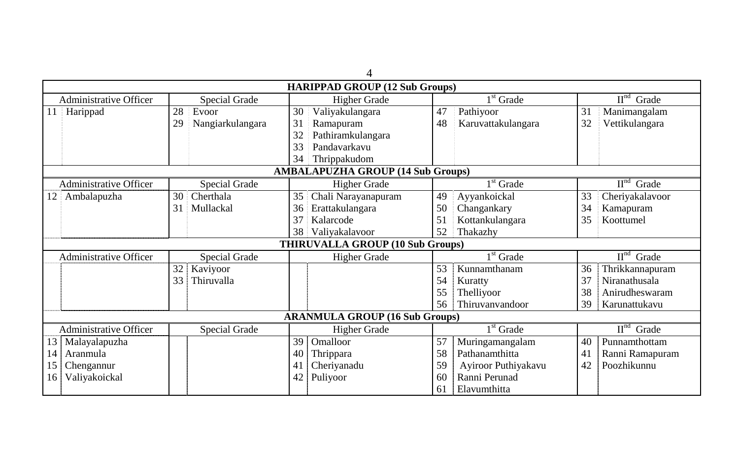| $\overline{\mathcal{A}}$      |                                         |                                          |                           |                                              |  |  |  |  |
|-------------------------------|-----------------------------------------|------------------------------------------|---------------------------|----------------------------------------------|--|--|--|--|
|                               |                                         | <b>HARIPPAD GROUP (12 Sub Groups)</b>    |                           |                                              |  |  |  |  |
| <b>Administrative Officer</b> | <b>Special Grade</b>                    | <b>Higher Grade</b>                      | $1st$ Grade               | $IInd$ Grade                                 |  |  |  |  |
| Harippad<br>11                | 28<br>Evoor                             | 30<br>Valiyakulangara                    | 47<br>Pathiyoor           | 31<br>Manimangalam                           |  |  |  |  |
|                               | 29<br>Nangiarkulangara                  | 31<br>Ramapuram                          | 48<br>Karuvattakulangara  | 32<br>Vettikulangara                         |  |  |  |  |
|                               |                                         | 32<br>Pathiramkulangara                  |                           |                                              |  |  |  |  |
|                               |                                         | 33<br>Pandavarkavu                       |                           |                                              |  |  |  |  |
|                               |                                         | 34<br>Thrippakudom                       |                           |                                              |  |  |  |  |
|                               |                                         | <b>AMBALAPUZHA GROUP (14 Sub Groups)</b> |                           |                                              |  |  |  |  |
| <b>Administrative Officer</b> | <b>Special Grade</b>                    | <b>Higher Grade</b>                      | $1st$ Grade               | $IInd$ Grade                                 |  |  |  |  |
| Ambalapuzha<br>12             | 30<br>Cherthala                         | Chali Narayanapuram<br>35                | 49<br>Ayyankoickal        | 33<br>Cheriyakalavoor                        |  |  |  |  |
|                               | 31<br>Mullackal                         | 36<br>Erattakulangara                    | 50<br>Changankary         | 34<br>Kamapuram                              |  |  |  |  |
|                               |                                         | 37<br>Kalarcode                          | 51<br>Kottankulangara     | 35<br>Koottumel                              |  |  |  |  |
|                               |                                         | 38<br>Valiyakalavoor                     | 52<br>Thakazhy            |                                              |  |  |  |  |
|                               | <b>THIRUVALLA GROUP (10 Sub Groups)</b> |                                          |                           |                                              |  |  |  |  |
| <b>Administrative Officer</b> | <b>Special Grade</b>                    | <b>Higher Grade</b>                      | $1st$ Grade               | $\overline{\mathrm{II}}^{\mathrm{nd}}$ Grade |  |  |  |  |
|                               | 32<br>Kaviyoor                          |                                          | 53<br>Kunnamthanam        | 36<br>Thrikkannapuram                        |  |  |  |  |
|                               | 33<br>Thiruvalla                        |                                          | 54<br>Kuratty             | 37<br>Niranathusala                          |  |  |  |  |
|                               |                                         |                                          | 55<br>Thelliyoor          | 38<br>Anirudheswaram                         |  |  |  |  |
|                               |                                         |                                          | Thiruvanvandoor<br>56     | 39<br>Karunattukavu                          |  |  |  |  |
|                               | <b>ARANMULA GROUP (16 Sub Groups)</b>   |                                          |                           |                                              |  |  |  |  |
| <b>Administrative Officer</b> | <b>Special Grade</b>                    | <b>Higher Grade</b>                      | $1st$ Grade               | $\overline{II}^{\text{nd}}$ Grade            |  |  |  |  |
| Malayalapuzha<br>13           |                                         | 39<br>Omalloor                           | 57<br>Muringamangalam     | Punnamthottam<br>40                          |  |  |  |  |
| Aranmula<br>14                |                                         | 40<br>Thrippara                          | 58<br>Pathanamthitta      | Ranni Ramapuram<br>41                        |  |  |  |  |
| Chengannur<br>15              |                                         | Cheriyanadu<br>41                        | 59<br>Ayiroor Puthiyakavu | Poozhikunnu<br>42                            |  |  |  |  |
| Valiyakoickal<br>16           |                                         | Puliyoor<br>42                           | Ranni Perunad<br>60       |                                              |  |  |  |  |
|                               |                                         |                                          | Elavumthitta<br>61        |                                              |  |  |  |  |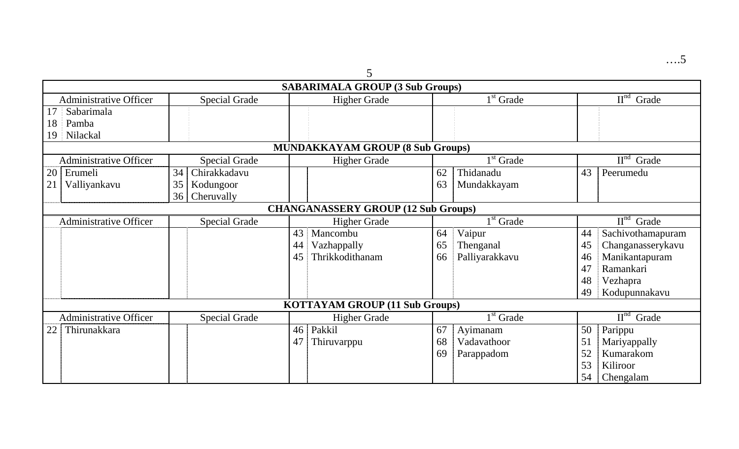| ×<br>05 |  |
|---------|--|
|         |  |
|         |  |

|                               |                      | <b>SABARIMALA GROUP (3 Sub Groups)</b>     |                      |                                    |
|-------------------------------|----------------------|--------------------------------------------|----------------------|------------------------------------|
| <b>Administrative Officer</b> | <b>Special Grade</b> | <b>Higher Grade</b>                        | $1st$ Grade          | $\mathbf{II}^{\text{nd}}$<br>Grade |
| Sabarimala<br>17              |                      |                                            |                      |                                    |
| 18<br>Pamba                   |                      |                                            |                      |                                    |
| Nilackal<br>19                |                      |                                            |                      |                                    |
|                               |                      | <b>MUNDAKKAYAM GROUP (8 Sub Groups)</b>    |                      |                                    |
| <b>Administrative Officer</b> | <b>Special Grade</b> | <b>Higher Grade</b>                        | $1st$ Grade          | $\mathbf{II}^{\text{nd}}$<br>Grade |
| 20<br>Erumeli                 | Chirakkadavu<br>34   |                                            | Thidanadu<br>62      | 43<br>Peerumedu                    |
| 21<br>Valliyankavu            | 35<br>Kodungoor      |                                            | 63<br>Mundakkayam    |                                    |
|                               | Cheruvally<br>36     |                                            |                      |                                    |
|                               |                      | <b>CHANGANASSERY GROUP (12 Sub Groups)</b> |                      |                                    |
| <b>Administrative Officer</b> | <b>Special Grade</b> | <b>Higher Grade</b>                        | $1st$ Grade          | $\mathbf{II}^{\text{nd}}$<br>Grade |
|                               |                      | 43<br>Mancombu                             | Vaipur<br>64         | Sachivothamapuram<br>44            |
|                               |                      | Vazhappally<br>44                          | Thenganal<br>65      | Changanasserykavu<br>45            |
|                               |                      | Thrikkodithanam<br>45                      | Palliyarakkavu<br>66 | Manikantapuram<br>46               |
|                               |                      |                                            |                      | Ramankari<br>47                    |
|                               |                      |                                            |                      | 48<br>Vezhapra                     |
|                               |                      |                                            |                      | 49<br>Kodupunnakavu                |
|                               |                      | <b>KOTTAYAM GROUP (11 Sub Groups)</b>      |                      |                                    |
| <b>Administrative Officer</b> | <b>Special Grade</b> | <b>Higher Grade</b>                        | $1st$ Grade          | $\mathbf{II}^{\text{nd}}$<br>Grade |
| Thirunakkara<br>22            |                      | Pakkil<br>46                               | 67<br>Ayimanam       | Parippu<br>50                      |
|                               |                      | 47<br>Thiruvarppu                          | 68<br>Vadavathoor    | 51<br>Mariyappally                 |
|                               |                      |                                            | 69<br>Parappadom     | 52<br>Kumarakom                    |
|                               |                      |                                            |                      | 53<br>Kiliroor                     |
|                               |                      |                                            |                      | 54<br>Chengalam                    |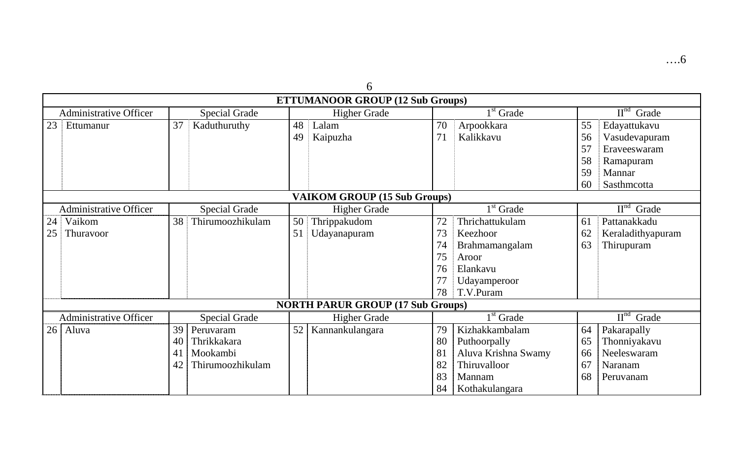| v                             |                                          |                      |    |                                         |    |                     |    |                                              |  |
|-------------------------------|------------------------------------------|----------------------|----|-----------------------------------------|----|---------------------|----|----------------------------------------------|--|
|                               |                                          |                      |    | <b>ETTUMANOOR GROUP (12 Sub Groups)</b> |    |                     |    |                                              |  |
| <b>Administrative Officer</b> |                                          | <b>Special Grade</b> |    | <b>Higher Grade</b>                     |    | $1st$ Grade         |    | $\overline{\mathrm{II}}^{\mathrm{nd}}$ Grade |  |
| 23<br>Ettumanur               | 37                                       | Kaduthuruthy         | 48 | Lalam                                   | 70 | Arpookkara          | 55 | Edayattukavu                                 |  |
|                               |                                          |                      | 49 | Kaipuzha                                | 71 | Kalikkavu           | 56 | Vasudevapuram                                |  |
|                               |                                          |                      |    |                                         |    |                     | 57 | Eraveeswaram                                 |  |
|                               |                                          |                      |    |                                         |    |                     | 58 | Ramapuram                                    |  |
|                               |                                          |                      |    |                                         |    |                     | 59 | Mannar                                       |  |
|                               |                                          |                      |    |                                         |    |                     | 60 | Sasthmcotta                                  |  |
|                               |                                          |                      |    | <b>VAIKOM GROUP (15 Sub Groups)</b>     |    |                     |    |                                              |  |
| <b>Administrative Officer</b> |                                          | <b>Special Grade</b> |    | <b>Higher Grade</b>                     |    | $1st$ Grade         |    | $\overline{II}^{\text{nd}}$ Grade            |  |
| Vaikom<br>24                  | 38                                       | Thirumoozhikulam     | 50 | Thrippakudom                            | 72 | Thrichattukulam     | 61 | Pattanakkadu                                 |  |
| Thuravoor<br>25               |                                          |                      | 51 | Udayanapuram                            | 73 | Keezhoor            | 62 | Keraladithyapuram                            |  |
|                               |                                          |                      |    |                                         | 74 | Brahmamangalam      | 63 | Thirupuram                                   |  |
|                               |                                          |                      |    |                                         | 75 | Aroor               |    |                                              |  |
|                               |                                          |                      |    |                                         | 76 | Elankavu            |    |                                              |  |
|                               |                                          |                      |    |                                         | 77 | Udayamperoor        |    |                                              |  |
|                               |                                          |                      |    |                                         | 78 | T.V.Puram           |    |                                              |  |
|                               | <b>NORTH PARUR GROUP (17 Sub Groups)</b> |                      |    |                                         |    |                     |    |                                              |  |
| <b>Administrative Officer</b> |                                          | <b>Special Grade</b> |    | <b>Higher Grade</b>                     |    | $1st$ Grade         |    | $\mathbf{II}^{\text{nd}}$<br>Grade           |  |
| 26<br>Aluva                   | 39                                       | Peruvaram            | 52 | Kannankulangara                         | 79 | Kizhakkambalam      | 64 | Pakarapally                                  |  |
|                               | 40                                       | Thrikkakara          |    |                                         | 80 | Puthoorpally        | 65 | Thonniyakavu                                 |  |
|                               | 41                                       | Mookambi             |    |                                         | 81 | Aluva Krishna Swamy | 66 | Neeleswaram                                  |  |
|                               | 42                                       | Thirumoozhikulam     |    |                                         | 82 | Thiruvalloor        | 67 | Naranam                                      |  |
|                               |                                          |                      |    |                                         | 83 | Mannam              | 68 | Peruvanam                                    |  |
|                               |                                          |                      |    |                                         | 84 | Kothakulangara      |    |                                              |  |

6